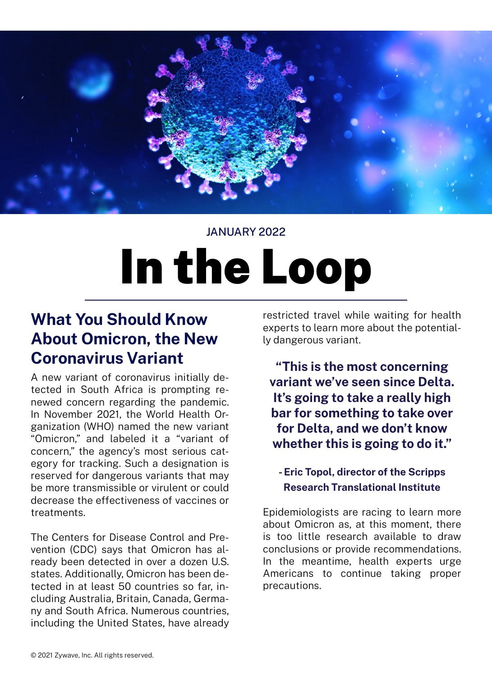

### JANUARY 2022

# In the Loop

## **What You Should Know About Omicron, the New Coronavirus Variant**

A new variant of coronavirus initially detected in South Africa is prompting renewed concern regarding the pandemic. In November 2021, the World Health Organization (WHO) named the new variant "Omicron," and labeled it a "variant of concern," the agency's most serious category for tracking. Such a designation is reserved for dangerous variants that may be more transmissible or virulent or could decrease the effectiveness of vaccines or treatments.

The Centers for Disease Control and Prevention (CDC) says that Omicron has already been detected in over a dozen U.S. states. Additionally, Omicron has been detected in at least 50 countries so far, including Australia, Britain, Canada, Germany and South Africa. Numerous countries, including the United States, have already

restricted travel while waiting for health experts to learn more about the potentially dangerous variant.

**"This is the most concerning variant we've seen since Delta. It's going to take a really high bar for something to take over for Delta, and we don't know whether this is going to do it."**

#### **- Eric Topol, director of the Scripps Research Translational Institute**

Epidemiologists are racing to learn more about Omicron as, at this moment, there is too little research available to draw conclusions or provide recommendations. In the meantime, health experts urge Americans to continue taking proper precautions.